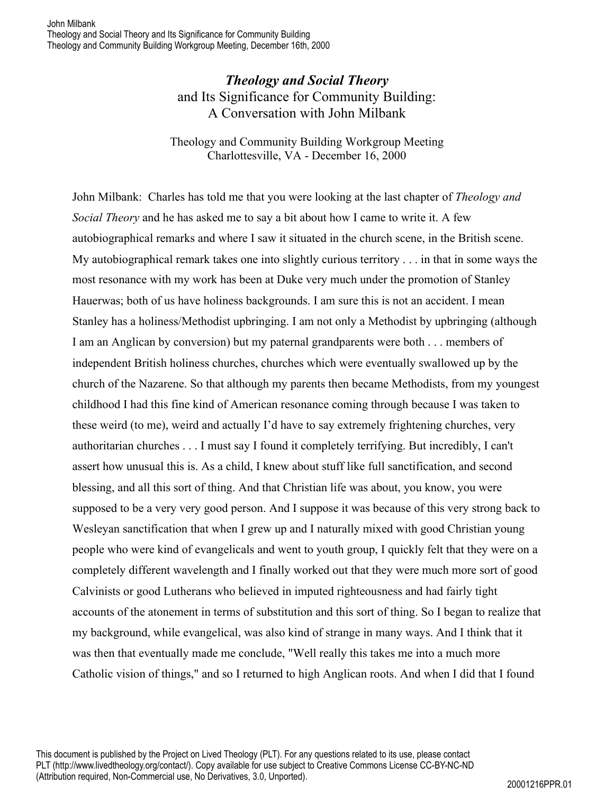## *Theology and Social Theory* and Its Significance for Community Building: A Conversation with John Milbank

Theology and Community Building Workgroup Meeting Charlottesville, VA - December 16, 2000

John Milbank: Charles has told me that you were looking at the last chapter of *Theology and Social Theory* and he has asked me to say a bit about how I came to write it. A few autobiographical remarks and where I saw it situated in the church scene, in the British scene. My autobiographical remark takes one into slightly curious territory . . . in that in some ways the most resonance with my work has been at Duke very much under the promotion of Stanley Hauerwas; both of us have holiness backgrounds. I am sure this is not an accident. I mean Stanley has a holiness/Methodist upbringing. I am not only a Methodist by upbringing (although I am an Anglican by conversion) but my paternal grandparents were both . . . members of independent British holiness churches, churches which were eventually swallowed up by the church of the Nazarene. So that although my parents then became Methodists, from my youngest childhood I had this fine kind of American resonance coming through because I was taken to these weird (to me), weird and actually I'd have to say extremely frightening churches, very authoritarian churches . . . I must say I found it completely terrifying. But incredibly, I can't assert how unusual this is. As a child, I knew about stuff like full sanctification, and second blessing, and all this sort of thing. And that Christian life was about, you know, you were supposed to be a very very good person. And I suppose it was because of this very strong back to Wesleyan sanctification that when I grew up and I naturally mixed with good Christian young people who were kind of evangelicals and went to youth group, I quickly felt that they were on a completely different wavelength and I finally worked out that they were much more sort of good Calvinists or good Lutherans who believed in imputed righteousness and had fairly tight accounts of the atonement in terms of substitution and this sort of thing. So I began to realize that my background, while evangelical, was also kind of strange in many ways. And I think that it was then that eventually made me conclude, "Well really this takes me into a much more Catholic vision of things," and so I returned to high Anglican roots. And when I did that I found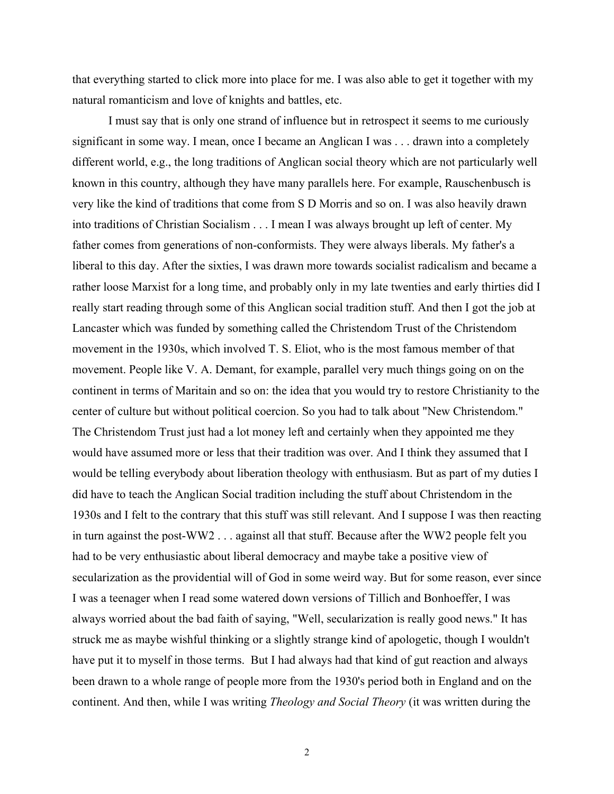that everything started to click more into place for me. I was also able to get it together with my natural romanticism and love of knights and battles, etc.

I must say that is only one strand of influence but in retrospect it seems to me curiously significant in some way. I mean, once I became an Anglican I was . . . drawn into a completely different world, e.g., the long traditions of Anglican social theory which are not particularly well known in this country, although they have many parallels here. For example, Rauschenbusch is very like the kind of traditions that come from S D Morris and so on. I was also heavily drawn into traditions of Christian Socialism . . . I mean I was always brought up left of center. My father comes from generations of non-conformists. They were always liberals. My father's a liberal to this day. After the sixties, I was drawn more towards socialist radicalism and became a rather loose Marxist for a long time, and probably only in my late twenties and early thirties did I really start reading through some of this Anglican social tradition stuff. And then I got the job at Lancaster which was funded by something called the Christendom Trust of the Christendom movement in the 1930s, which involved T. S. Eliot, who is the most famous member of that movement. People like V. A. Demant, for example, parallel very much things going on on the continent in terms of Maritain and so on: the idea that you would try to restore Christianity to the center of culture but without political coercion. So you had to talk about "New Christendom." The Christendom Trust just had a lot money left and certainly when they appointed me they would have assumed more or less that their tradition was over. And I think they assumed that I would be telling everybody about liberation theology with enthusiasm. But as part of my duties I did have to teach the Anglican Social tradition including the stuff about Christendom in the 1930s and I felt to the contrary that this stuff was still relevant. And I suppose I was then reacting in turn against the post-WW2 . . . against all that stuff. Because after the WW2 people felt you had to be very enthusiastic about liberal democracy and maybe take a positive view of secularization as the providential will of God in some weird way. But for some reason, ever since I was a teenager when I read some watered down versions of Tillich and Bonhoeffer, I was always worried about the bad faith of saying, "Well, secularization is really good news." It has struck me as maybe wishful thinking or a slightly strange kind of apologetic, though I wouldn't have put it to myself in those terms. But I had always had that kind of gut reaction and always been drawn to a whole range of people more from the 1930's period both in England and on the continent. And then, while I was writing *Theology and Social Theory* (it was written during the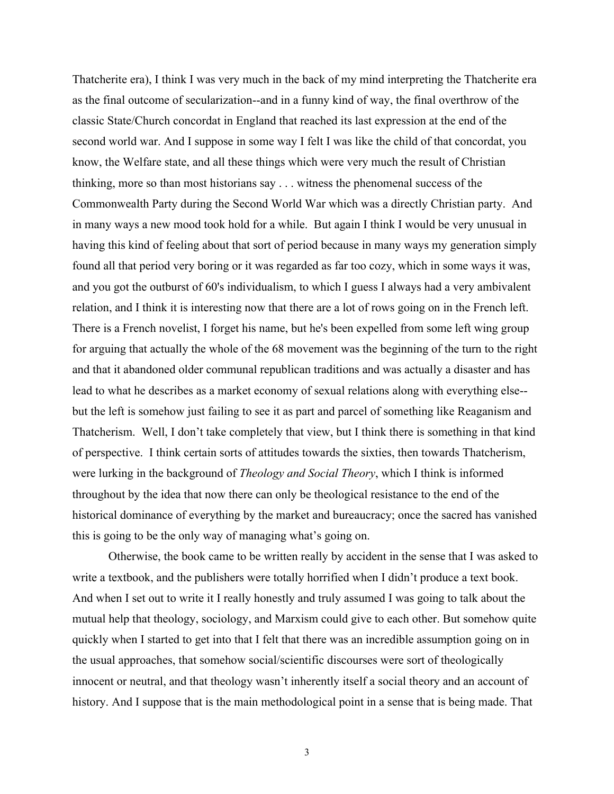Thatcherite era), I think I was very much in the back of my mind interpreting the Thatcherite era as the final outcome of secularization--and in a funny kind of way, the final overthrow of the classic State/Church concordat in England that reached its last expression at the end of the second world war. And I suppose in some way I felt I was like the child of that concordat, you know, the Welfare state, and all these things which were very much the result of Christian thinking, more so than most historians say . . . witness the phenomenal success of the Commonwealth Party during the Second World War which was a directly Christian party. And in many ways a new mood took hold for a while. But again I think I would be very unusual in having this kind of feeling about that sort of period because in many ways my generation simply found all that period very boring or it was regarded as far too cozy, which in some ways it was, and you got the outburst of 60's individualism, to which I guess I always had a very ambivalent relation, and I think it is interesting now that there are a lot of rows going on in the French left. There is a French novelist, I forget his name, but he's been expelled from some left wing group for arguing that actually the whole of the 68 movement was the beginning of the turn to the right and that it abandoned older communal republican traditions and was actually a disaster and has lead to what he describes as a market economy of sexual relations along with everything else- but the left is somehow just failing to see it as part and parcel of something like Reaganism and Thatcherism. Well, I don't take completely that view, but I think there is something in that kind of perspective. I think certain sorts of attitudes towards the sixties, then towards Thatcherism, were lurking in the background of *Theology and Social Theory*, which I think is informed throughout by the idea that now there can only be theological resistance to the end of the historical dominance of everything by the market and bureaucracy; once the sacred has vanished this is going to be the only way of managing what's going on.

Otherwise, the book came to be written really by accident in the sense that I was asked to write a textbook, and the publishers were totally horrified when I didn't produce a text book. And when I set out to write it I really honestly and truly assumed I was going to talk about the mutual help that theology, sociology, and Marxism could give to each other. But somehow quite quickly when I started to get into that I felt that there was an incredible assumption going on in the usual approaches, that somehow social/scientific discourses were sort of theologically innocent or neutral, and that theology wasn't inherently itself a social theory and an account of history. And I suppose that is the main methodological point in a sense that is being made. That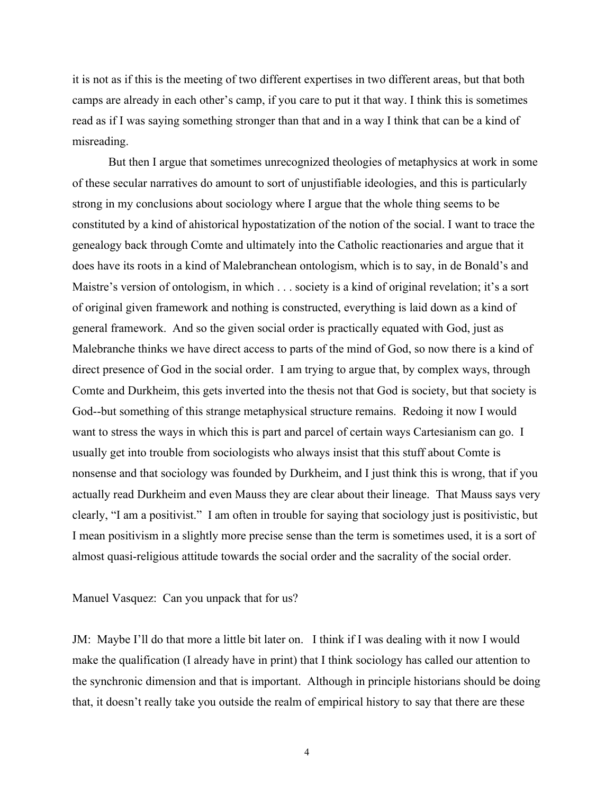it is not as if this is the meeting of two different expertises in two different areas, but that both camps are already in each other's camp, if you care to put it that way. I think this is sometimes read as if I was saying something stronger than that and in a way I think that can be a kind of misreading.

But then I argue that sometimes unrecognized theologies of metaphysics at work in some of these secular narratives do amount to sort of unjustifiable ideologies, and this is particularly strong in my conclusions about sociology where I argue that the whole thing seems to be constituted by a kind of ahistorical hypostatization of the notion of the social. I want to trace the genealogy back through Comte and ultimately into the Catholic reactionaries and argue that it does have its roots in a kind of Malebranchean ontologism, which is to say, in de Bonald's and Maistre's version of ontologism, in which . . . society is a kind of original revelation; it's a sort of original given framework and nothing is constructed, everything is laid down as a kind of general framework. And so the given social order is practically equated with God, just as Malebranche thinks we have direct access to parts of the mind of God, so now there is a kind of direct presence of God in the social order. I am trying to argue that, by complex ways, through Comte and Durkheim, this gets inverted into the thesis not that God is society, but that society is God--but something of this strange metaphysical structure remains. Redoing it now I would want to stress the ways in which this is part and parcel of certain ways Cartesianism can go. I usually get into trouble from sociologists who always insist that this stuff about Comte is nonsense and that sociology was founded by Durkheim, and I just think this is wrong, that if you actually read Durkheim and even Mauss they are clear about their lineage. That Mauss says very clearly, "I am a positivist." I am often in trouble for saying that sociology just is positivistic, but I mean positivism in a slightly more precise sense than the term is sometimes used, it is a sort of almost quasi-religious attitude towards the social order and the sacrality of the social order.

Manuel Vasquez: Can you unpack that for us?

JM: Maybe I'll do that more a little bit later on. I think if I was dealing with it now I would make the qualification (I already have in print) that I think sociology has called our attention to the synchronic dimension and that is important. Although in principle historians should be doing that, it doesn't really take you outside the realm of empirical history to say that there are these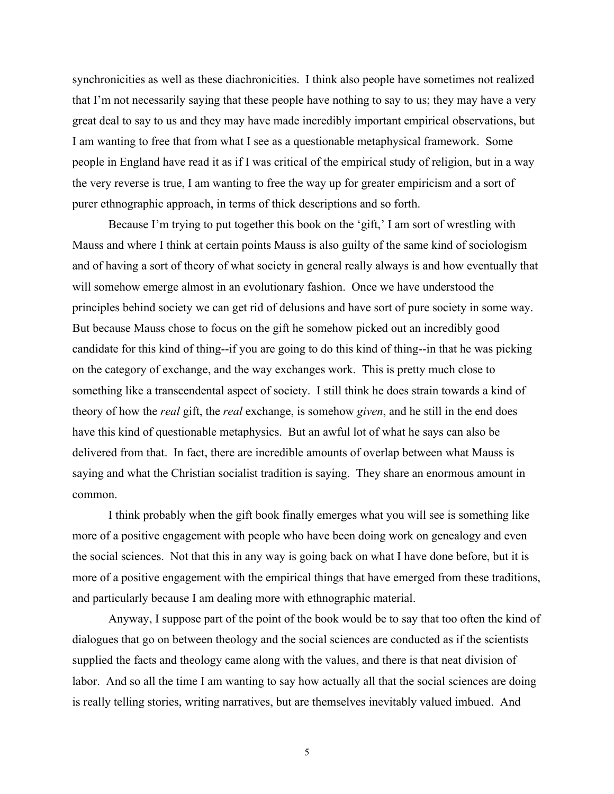synchronicities as well as these diachronicities. I think also people have sometimes not realized that I'm not necessarily saying that these people have nothing to say to us; they may have a very great deal to say to us and they may have made incredibly important empirical observations, but I am wanting to free that from what I see as a questionable metaphysical framework. Some people in England have read it as if I was critical of the empirical study of religion, but in a way the very reverse is true, I am wanting to free the way up for greater empiricism and a sort of purer ethnographic approach, in terms of thick descriptions and so forth.

Because I'm trying to put together this book on the 'gift,' I am sort of wrestling with Mauss and where I think at certain points Mauss is also guilty of the same kind of sociologism and of having a sort of theory of what society in general really always is and how eventually that will somehow emerge almost in an evolutionary fashion. Once we have understood the principles behind society we can get rid of delusions and have sort of pure society in some way. But because Mauss chose to focus on the gift he somehow picked out an incredibly good candidate for this kind of thing--if you are going to do this kind of thing--in that he was picking on the category of exchange, and the way exchanges work. This is pretty much close to something like a transcendental aspect of society. I still think he does strain towards a kind of theory of how the *real* gift, the *real* exchange, is somehow *given*, and he still in the end does have this kind of questionable metaphysics. But an awful lot of what he says can also be delivered from that. In fact, there are incredible amounts of overlap between what Mauss is saying and what the Christian socialist tradition is saying. They share an enormous amount in common.

I think probably when the gift book finally emerges what you will see is something like more of a positive engagement with people who have been doing work on genealogy and even the social sciences. Not that this in any way is going back on what I have done before, but it is more of a positive engagement with the empirical things that have emerged from these traditions, and particularly because I am dealing more with ethnographic material.

Anyway, I suppose part of the point of the book would be to say that too often the kind of dialogues that go on between theology and the social sciences are conducted as if the scientists supplied the facts and theology came along with the values, and there is that neat division of labor. And so all the time I am wanting to say how actually all that the social sciences are doing is really telling stories, writing narratives, but are themselves inevitably valued imbued. And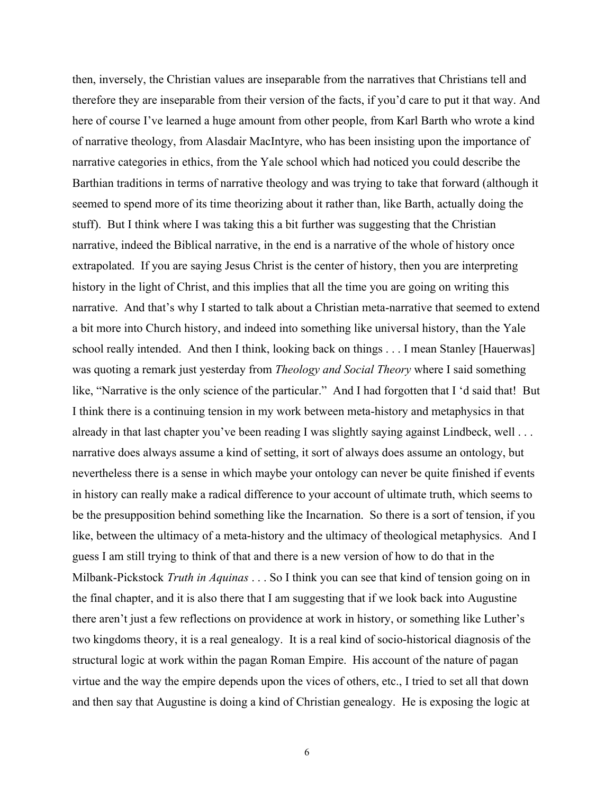then, inversely, the Christian values are inseparable from the narratives that Christians tell and therefore they are inseparable from their version of the facts, if you'd care to put it that way. And here of course I've learned a huge amount from other people, from Karl Barth who wrote a kind of narrative theology, from Alasdair MacIntyre, who has been insisting upon the importance of narrative categories in ethics, from the Yale school which had noticed you could describe the Barthian traditions in terms of narrative theology and was trying to take that forward (although it seemed to spend more of its time theorizing about it rather than, like Barth, actually doing the stuff). But I think where I was taking this a bit further was suggesting that the Christian narrative, indeed the Biblical narrative, in the end is a narrative of the whole of history once extrapolated. If you are saying Jesus Christ is the center of history, then you are interpreting history in the light of Christ, and this implies that all the time you are going on writing this narrative. And that's why I started to talk about a Christian meta-narrative that seemed to extend a bit more into Church history, and indeed into something like universal history, than the Yale school really intended. And then I think, looking back on things . . . I mean Stanley [Hauerwas] was quoting a remark just yesterday from *Theology and Social Theory* where I said something like, "Narrative is the only science of the particular." And I had forgotten that I 'd said that! But I think there is a continuing tension in my work between meta-history and metaphysics in that already in that last chapter you've been reading I was slightly saying against Lindbeck, well . . . narrative does always assume a kind of setting, it sort of always does assume an ontology, but nevertheless there is a sense in which maybe your ontology can never be quite finished if events in history can really make a radical difference to your account of ultimate truth, which seems to be the presupposition behind something like the Incarnation. So there is a sort of tension, if you like, between the ultimacy of a meta-history and the ultimacy of theological metaphysics. And I guess I am still trying to think of that and there is a new version of how to do that in the Milbank-Pickstock *Truth in Aquinas* . . . So I think you can see that kind of tension going on in the final chapter, and it is also there that I am suggesting that if we look back into Augustine there aren't just a few reflections on providence at work in history, or something like Luther's two kingdoms theory, it is a real genealogy. It is a real kind of socio-historical diagnosis of the structural logic at work within the pagan Roman Empire. His account of the nature of pagan virtue and the way the empire depends upon the vices of others, etc., I tried to set all that down and then say that Augustine is doing a kind of Christian genealogy. He is exposing the logic at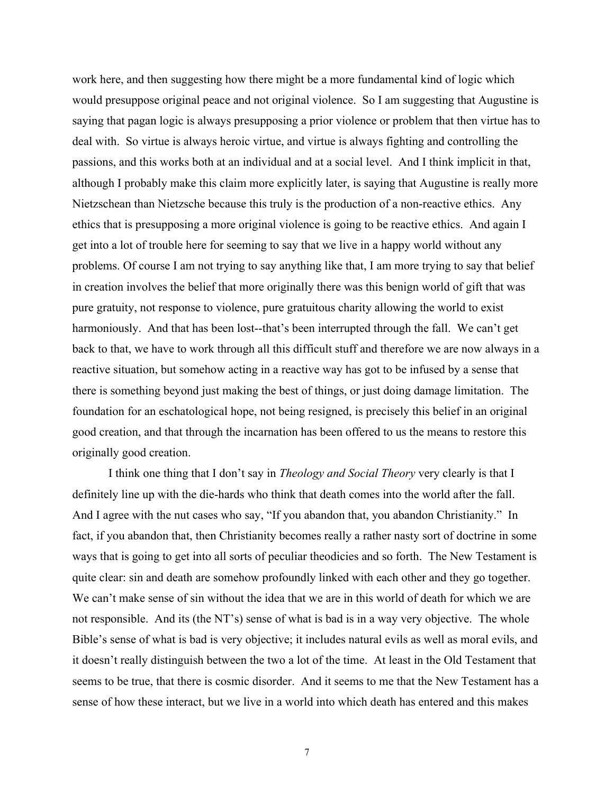work here, and then suggesting how there might be a more fundamental kind of logic which would presuppose original peace and not original violence. So I am suggesting that Augustine is saying that pagan logic is always presupposing a prior violence or problem that then virtue has to deal with. So virtue is always heroic virtue, and virtue is always fighting and controlling the passions, and this works both at an individual and at a social level. And I think implicit in that, although I probably make this claim more explicitly later, is saying that Augustine is really more Nietzschean than Nietzsche because this truly is the production of a non-reactive ethics. Any ethics that is presupposing a more original violence is going to be reactive ethics. And again I get into a lot of trouble here for seeming to say that we live in a happy world without any problems. Of course I am not trying to say anything like that, I am more trying to say that belief in creation involves the belief that more originally there was this benign world of gift that was pure gratuity, not response to violence, pure gratuitous charity allowing the world to exist harmoniously. And that has been lost--that's been interrupted through the fall. We can't get back to that, we have to work through all this difficult stuff and therefore we are now always in a reactive situation, but somehow acting in a reactive way has got to be infused by a sense that there is something beyond just making the best of things, or just doing damage limitation. The foundation for an eschatological hope, not being resigned, is precisely this belief in an original good creation, and that through the incarnation has been offered to us the means to restore this originally good creation.

I think one thing that I don't say in *Theology and Social Theory* very clearly is that I definitely line up with the die-hards who think that death comes into the world after the fall. And I agree with the nut cases who say, "If you abandon that, you abandon Christianity." In fact, if you abandon that, then Christianity becomes really a rather nasty sort of doctrine in some ways that is going to get into all sorts of peculiar theodicies and so forth. The New Testament is quite clear: sin and death are somehow profoundly linked with each other and they go together. We can't make sense of sin without the idea that we are in this world of death for which we are not responsible. And its (the NT's) sense of what is bad is in a way very objective. The whole Bible's sense of what is bad is very objective; it includes natural evils as well as moral evils, and it doesn't really distinguish between the two a lot of the time. At least in the Old Testament that seems to be true, that there is cosmic disorder. And it seems to me that the New Testament has a sense of how these interact, but we live in a world into which death has entered and this makes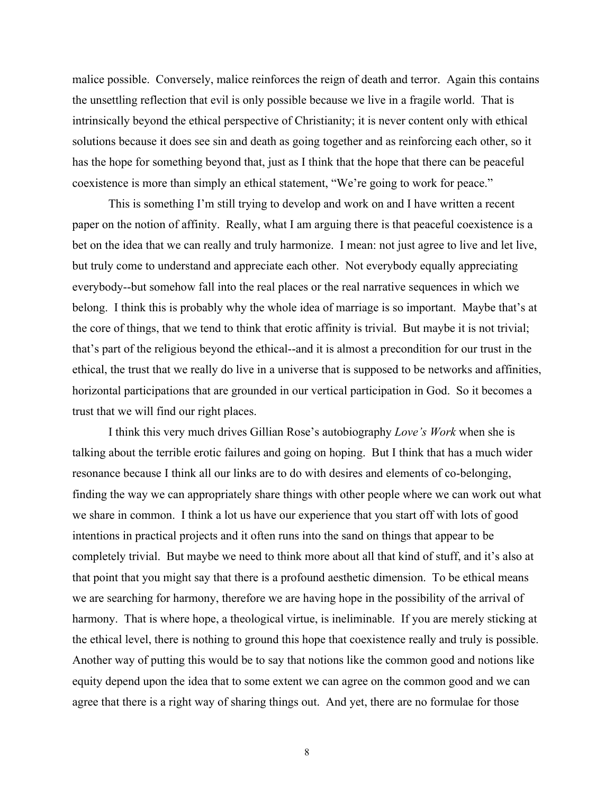malice possible. Conversely, malice reinforces the reign of death and terror. Again this contains the unsettling reflection that evil is only possible because we live in a fragile world. That is intrinsically beyond the ethical perspective of Christianity; it is never content only with ethical solutions because it does see sin and death as going together and as reinforcing each other, so it has the hope for something beyond that, just as I think that the hope that there can be peaceful coexistence is more than simply an ethical statement, "We're going to work for peace."

This is something I'm still trying to develop and work on and I have written a recent paper on the notion of affinity. Really, what I am arguing there is that peaceful coexistence is a bet on the idea that we can really and truly harmonize. I mean: not just agree to live and let live, but truly come to understand and appreciate each other. Not everybody equally appreciating everybody--but somehow fall into the real places or the real narrative sequences in which we belong. I think this is probably why the whole idea of marriage is so important. Maybe that's at the core of things, that we tend to think that erotic affinity is trivial. But maybe it is not trivial; that's part of the religious beyond the ethical--and it is almost a precondition for our trust in the ethical, the trust that we really do live in a universe that is supposed to be networks and affinities, horizontal participations that are grounded in our vertical participation in God. So it becomes a trust that we will find our right places.

I think this very much drives Gillian Rose's autobiography *Love's Work* when she is talking about the terrible erotic failures and going on hoping. But I think that has a much wider resonance because I think all our links are to do with desires and elements of co-belonging, finding the way we can appropriately share things with other people where we can work out what we share in common. I think a lot us have our experience that you start off with lots of good intentions in practical projects and it often runs into the sand on things that appear to be completely trivial. But maybe we need to think more about all that kind of stuff, and it's also at that point that you might say that there is a profound aesthetic dimension. To be ethical means we are searching for harmony, therefore we are having hope in the possibility of the arrival of harmony. That is where hope, a theological virtue, is ineliminable. If you are merely sticking at the ethical level, there is nothing to ground this hope that coexistence really and truly is possible. Another way of putting this would be to say that notions like the common good and notions like equity depend upon the idea that to some extent we can agree on the common good and we can agree that there is a right way of sharing things out. And yet, there are no formulae for those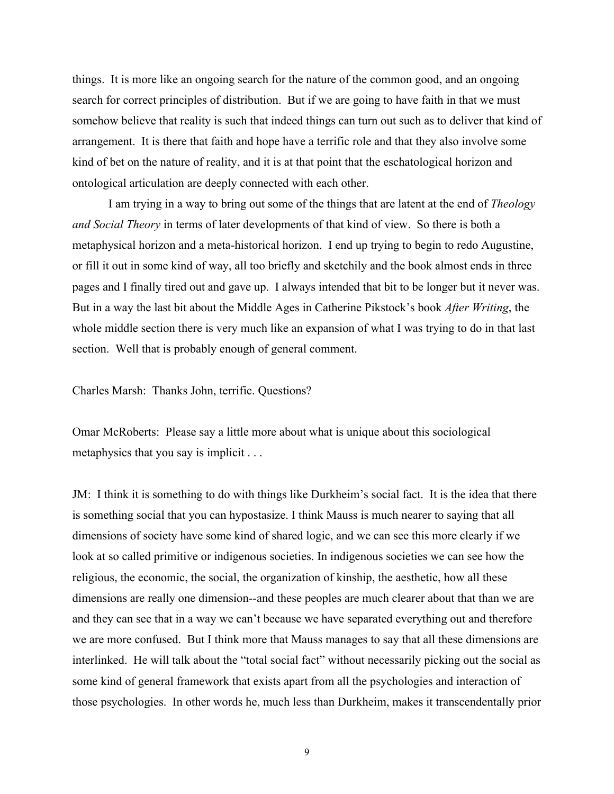things. It is more like an ongoing search for the nature of the common good, and an ongoing search for correct principles of distribution. But if we are going to have faith in that we must somehow believe that reality is such that indeed things can turn out such as to deliver that kind of arrangement. It is there that faith and hope have a terrific role and that they also involve some kind of bet on the nature of reality, and it is at that point that the eschatological horizon and ontological articulation are deeply connected with each other.

I am trying in a way to bring out some of the things that are latent at the end of *Theology and Social Theory* in terms of later developments of that kind of view. So there is both a metaphysical horizon and a meta-historical horizon. I end up trying to begin to redo Augustine, or fill it out in some kind of way, all too briefly and sketchily and the book almost ends in three pages and I finally tired out and gave up. I always intended that bit to be longer but it never was. But in a way the last bit about the Middle Ages in Catherine Pikstock's book *After Writing*, the whole middle section there is very much like an expansion of what I was trying to do in that last section. Well that is probably enough of general comment.

Charles Marsh: Thanks John, terrific. Questions?

Omar McRoberts: Please say a little more about what is unique about this sociological metaphysics that you say is implicit . . .

JM: I think it is something to do with things like Durkheim's social fact. It is the idea that there is something social that you can hypostasize. I think Mauss is much nearer to saying that all dimensions of society have some kind of shared logic, and we can see this more clearly if we look at so called primitive or indigenous societies. In indigenous societies we can see how the religious, the economic, the social, the organization of kinship, the aesthetic, how all these dimensions are really one dimension--and these peoples are much clearer about that than we are and they can see that in a way we can't because we have separated everything out and therefore we are more confused. But I think more that Mauss manages to say that all these dimensions are interlinked. He will talk about the "total social fact" without necessarily picking out the social as some kind of general framework that exists apart from all the psychologies and interaction of those psychologies. In other words he, much less than Durkheim, makes it transcendentally prior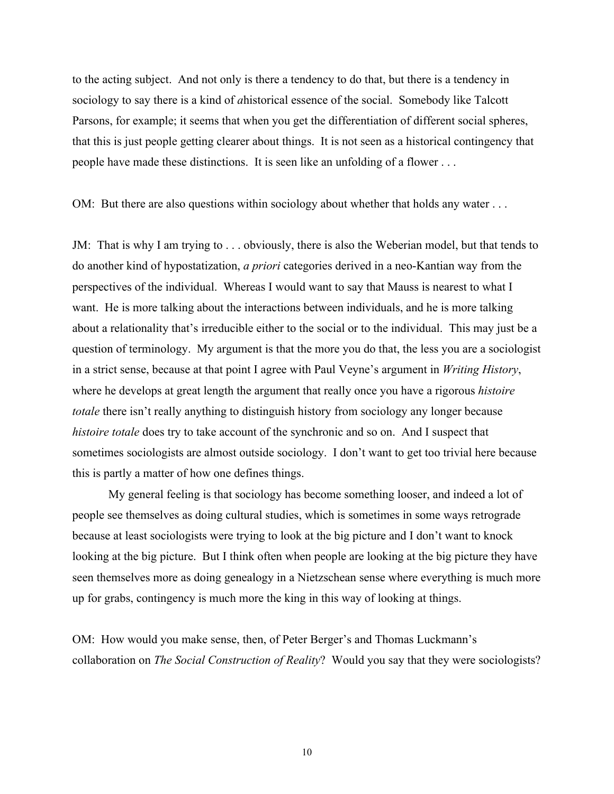to the acting subject. And not only is there a tendency to do that, but there is a tendency in sociology to say there is a kind of *a*historical essence of the social. Somebody like Talcott Parsons, for example; it seems that when you get the differentiation of different social spheres, that this is just people getting clearer about things. It is not seen as a historical contingency that people have made these distinctions. It is seen like an unfolding of a flower . . .

OM: But there are also questions within sociology about whether that holds any water . . .

JM: That is why I am trying to . . . obviously, there is also the Weberian model, but that tends to do another kind of hypostatization, *a priori* categories derived in a neo-Kantian way from the perspectives of the individual. Whereas I would want to say that Mauss is nearest to what I want. He is more talking about the interactions between individuals, and he is more talking about a relationality that's irreducible either to the social or to the individual. This may just be a question of terminology. My argument is that the more you do that, the less you are a sociologist in a strict sense, because at that point I agree with Paul Veyne's argument in *Writing History*, where he develops at great length the argument that really once you have a rigorous *histoire totale* there isn't really anything to distinguish history from sociology any longer because *histoire totale* does try to take account of the synchronic and so on. And I suspect that sometimes sociologists are almost outside sociology. I don't want to get too trivial here because this is partly a matter of how one defines things.

My general feeling is that sociology has become something looser, and indeed a lot of people see themselves as doing cultural studies, which is sometimes in some ways retrograde because at least sociologists were trying to look at the big picture and I don't want to knock looking at the big picture. But I think often when people are looking at the big picture they have seen themselves more as doing genealogy in a Nietzschean sense where everything is much more up for grabs, contingency is much more the king in this way of looking at things.

OM: How would you make sense, then, of Peter Berger's and Thomas Luckmann's collaboration on *The Social Construction of Reality*? Would you say that they were sociologists?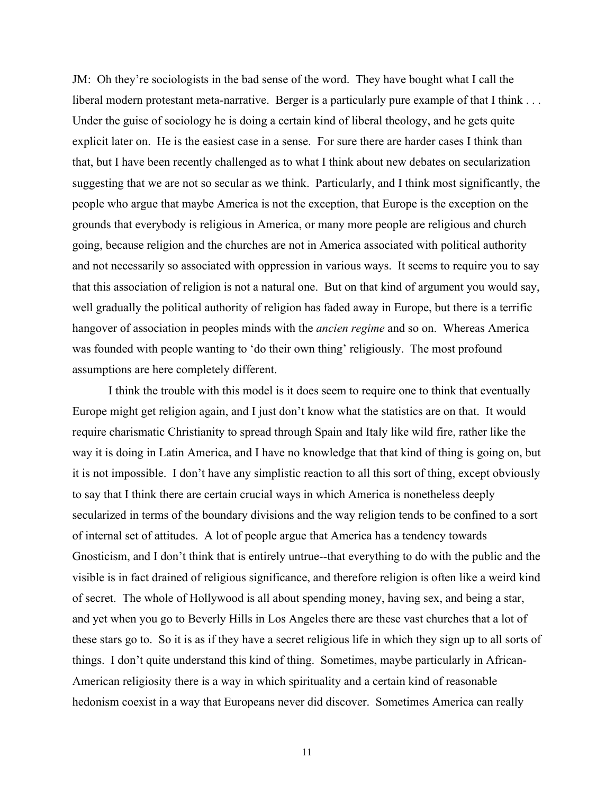JM: Oh they're sociologists in the bad sense of the word. They have bought what I call the liberal modern protestant meta-narrative. Berger is a particularly pure example of that I think . . . Under the guise of sociology he is doing a certain kind of liberal theology, and he gets quite explicit later on. He is the easiest case in a sense. For sure there are harder cases I think than that, but I have been recently challenged as to what I think about new debates on secularization suggesting that we are not so secular as we think. Particularly, and I think most significantly, the people who argue that maybe America is not the exception, that Europe is the exception on the grounds that everybody is religious in America, or many more people are religious and church going, because religion and the churches are not in America associated with political authority and not necessarily so associated with oppression in various ways. It seems to require you to say that this association of religion is not a natural one. But on that kind of argument you would say, well gradually the political authority of religion has faded away in Europe, but there is a terrific hangover of association in peoples minds with the *ancien regime* and so on. Whereas America was founded with people wanting to 'do their own thing' religiously. The most profound assumptions are here completely different.

I think the trouble with this model is it does seem to require one to think that eventually Europe might get religion again, and I just don't know what the statistics are on that. It would require charismatic Christianity to spread through Spain and Italy like wild fire, rather like the way it is doing in Latin America, and I have no knowledge that that kind of thing is going on, but it is not impossible. I don't have any simplistic reaction to all this sort of thing, except obviously to say that I think there are certain crucial ways in which America is nonetheless deeply secularized in terms of the boundary divisions and the way religion tends to be confined to a sort of internal set of attitudes. A lot of people argue that America has a tendency towards Gnosticism, and I don't think that is entirely untrue--that everything to do with the public and the visible is in fact drained of religious significance, and therefore religion is often like a weird kind of secret. The whole of Hollywood is all about spending money, having sex, and being a star, and yet when you go to Beverly Hills in Los Angeles there are these vast churches that a lot of these stars go to. So it is as if they have a secret religious life in which they sign up to all sorts of things. I don't quite understand this kind of thing. Sometimes, maybe particularly in African-American religiosity there is a way in which spirituality and a certain kind of reasonable hedonism coexist in a way that Europeans never did discover. Sometimes America can really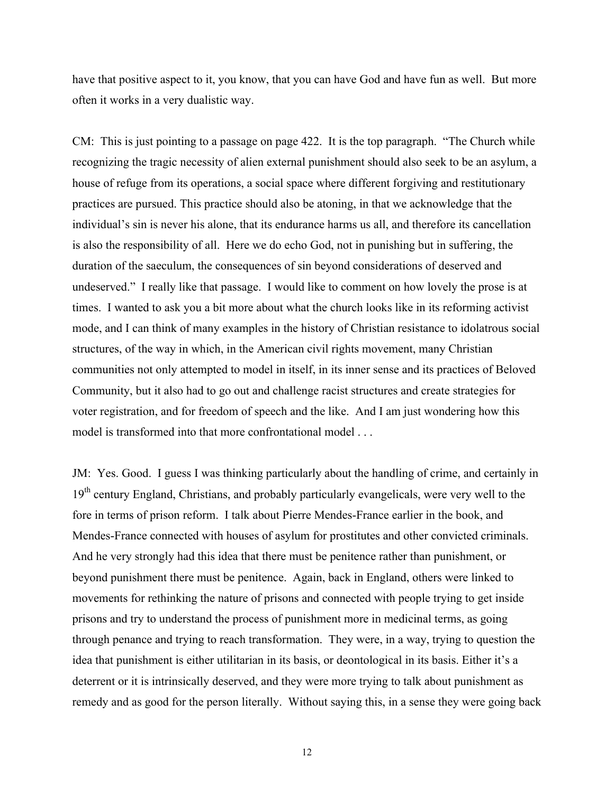have that positive aspect to it, you know, that you can have God and have fun as well. But more often it works in a very dualistic way.

CM: This is just pointing to a passage on page 422. It is the top paragraph. "The Church while recognizing the tragic necessity of alien external punishment should also seek to be an asylum, a house of refuge from its operations, a social space where different forgiving and restitutionary practices are pursued. This practice should also be atoning, in that we acknowledge that the individual's sin is never his alone, that its endurance harms us all, and therefore its cancellation is also the responsibility of all. Here we do echo God, not in punishing but in suffering, the duration of the saeculum, the consequences of sin beyond considerations of deserved and undeserved." I really like that passage. I would like to comment on how lovely the prose is at times. I wanted to ask you a bit more about what the church looks like in its reforming activist mode, and I can think of many examples in the history of Christian resistance to idolatrous social structures, of the way in which, in the American civil rights movement, many Christian communities not only attempted to model in itself, in its inner sense and its practices of Beloved Community, but it also had to go out and challenge racist structures and create strategies for voter registration, and for freedom of speech and the like. And I am just wondering how this model is transformed into that more confrontational model . . .

JM: Yes. Good. I guess I was thinking particularly about the handling of crime, and certainly in 19<sup>th</sup> century England, Christians, and probably particularly evangelicals, were very well to the fore in terms of prison reform. I talk about Pierre Mendes-France earlier in the book, and Mendes-France connected with houses of asylum for prostitutes and other convicted criminals. And he very strongly had this idea that there must be penitence rather than punishment, or beyond punishment there must be penitence. Again, back in England, others were linked to movements for rethinking the nature of prisons and connected with people trying to get inside prisons and try to understand the process of punishment more in medicinal terms, as going through penance and trying to reach transformation. They were, in a way, trying to question the idea that punishment is either utilitarian in its basis, or deontological in its basis. Either it's a deterrent or it is intrinsically deserved, and they were more trying to talk about punishment as remedy and as good for the person literally. Without saying this, in a sense they were going back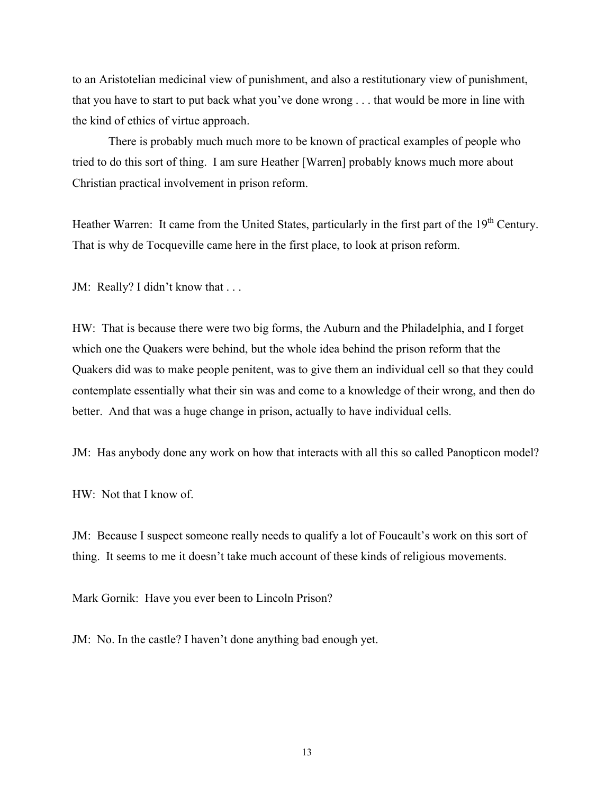to an Aristotelian medicinal view of punishment, and also a restitutionary view of punishment, that you have to start to put back what you've done wrong . . . that would be more in line with the kind of ethics of virtue approach.

There is probably much much more to be known of practical examples of people who tried to do this sort of thing. I am sure Heather [Warren] probably knows much more about Christian practical involvement in prison reform.

Heather Warren: It came from the United States, particularly in the first part of the  $19<sup>th</sup>$  Century. That is why de Tocqueville came here in the first place, to look at prison reform.

JM: Really? I didn't know that . . .

HW: That is because there were two big forms, the Auburn and the Philadelphia, and I forget which one the Quakers were behind, but the whole idea behind the prison reform that the Quakers did was to make people penitent, was to give them an individual cell so that they could contemplate essentially what their sin was and come to a knowledge of their wrong, and then do better. And that was a huge change in prison, actually to have individual cells.

JM: Has anybody done any work on how that interacts with all this so called Panopticon model?

HW: Not that I know of.

JM: Because I suspect someone really needs to qualify a lot of Foucault's work on this sort of thing. It seems to me it doesn't take much account of these kinds of religious movements.

Mark Gornik: Have you ever been to Lincoln Prison?

JM: No. In the castle? I haven't done anything bad enough yet.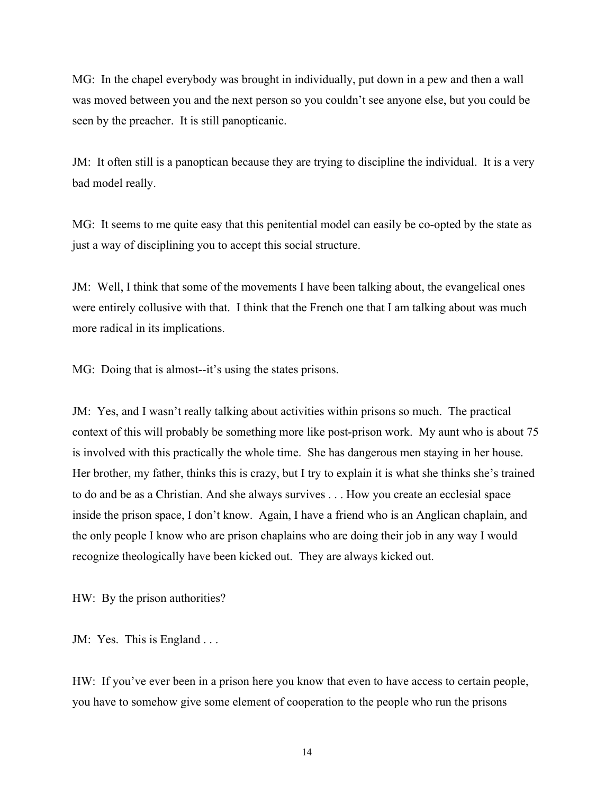MG: In the chapel everybody was brought in individually, put down in a pew and then a wall was moved between you and the next person so you couldn't see anyone else, but you could be seen by the preacher. It is still panopticanic.

JM: It often still is a panoptican because they are trying to discipline the individual. It is a very bad model really.

MG: It seems to me quite easy that this penitential model can easily be co-opted by the state as just a way of disciplining you to accept this social structure.

JM: Well, I think that some of the movements I have been talking about, the evangelical ones were entirely collusive with that. I think that the French one that I am talking about was much more radical in its implications.

MG: Doing that is almost--it's using the states prisons.

JM: Yes, and I wasn't really talking about activities within prisons so much. The practical context of this will probably be something more like post-prison work. My aunt who is about 75 is involved with this practically the whole time. She has dangerous men staying in her house. Her brother, my father, thinks this is crazy, but I try to explain it is what she thinks she's trained to do and be as a Christian. And she always survives . . . How you create an ecclesial space inside the prison space, I don't know. Again, I have a friend who is an Anglican chaplain, and the only people I know who are prison chaplains who are doing their job in any way I would recognize theologically have been kicked out. They are always kicked out.

HW: By the prison authorities?

JM: Yes. This is England ...

HW: If you've ever been in a prison here you know that even to have access to certain people, you have to somehow give some element of cooperation to the people who run the prisons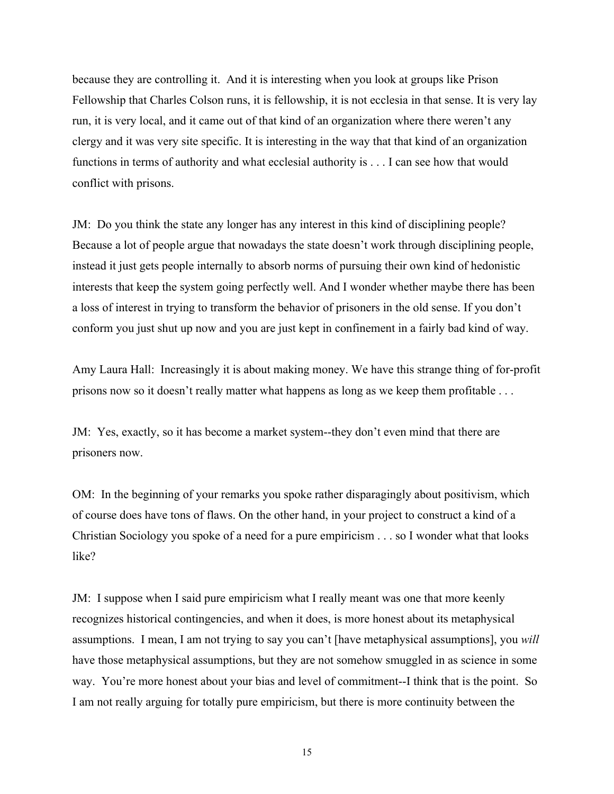because they are controlling it. And it is interesting when you look at groups like Prison Fellowship that Charles Colson runs, it is fellowship, it is not ecclesia in that sense. It is very lay run, it is very local, and it came out of that kind of an organization where there weren't any clergy and it was very site specific. It is interesting in the way that that kind of an organization functions in terms of authority and what ecclesial authority is . . . I can see how that would conflict with prisons.

JM: Do you think the state any longer has any interest in this kind of disciplining people? Because a lot of people argue that nowadays the state doesn't work through disciplining people, instead it just gets people internally to absorb norms of pursuing their own kind of hedonistic interests that keep the system going perfectly well. And I wonder whether maybe there has been a loss of interest in trying to transform the behavior of prisoners in the old sense. If you don't conform you just shut up now and you are just kept in confinement in a fairly bad kind of way.

Amy Laura Hall: Increasingly it is about making money. We have this strange thing of for-profit prisons now so it doesn't really matter what happens as long as we keep them profitable . . .

JM: Yes, exactly, so it has become a market system--they don't even mind that there are prisoners now.

OM: In the beginning of your remarks you spoke rather disparagingly about positivism, which of course does have tons of flaws. On the other hand, in your project to construct a kind of a Christian Sociology you spoke of a need for a pure empiricism . . . so I wonder what that looks like?

JM: I suppose when I said pure empiricism what I really meant was one that more keenly recognizes historical contingencies, and when it does, is more honest about its metaphysical assumptions. I mean, I am not trying to say you can't [have metaphysical assumptions], you *will* have those metaphysical assumptions, but they are not somehow smuggled in as science in some way. You're more honest about your bias and level of commitment--I think that is the point. So I am not really arguing for totally pure empiricism, but there is more continuity between the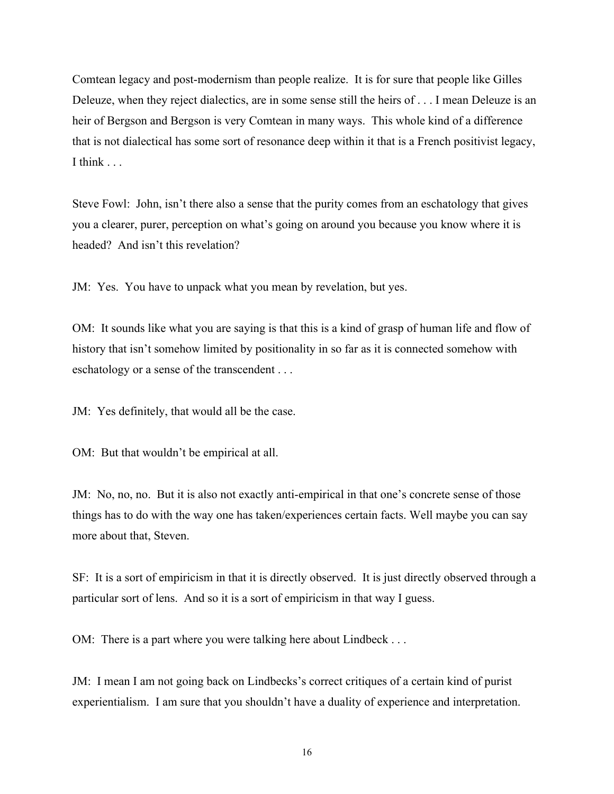Comtean legacy and post-modernism than people realize. It is for sure that people like Gilles Deleuze, when they reject dialectics, are in some sense still the heirs of . . . I mean Deleuze is an heir of Bergson and Bergson is very Comtean in many ways. This whole kind of a difference that is not dialectical has some sort of resonance deep within it that is a French positivist legacy, I think ...

Steve Fowl: John, isn't there also a sense that the purity comes from an eschatology that gives you a clearer, purer, perception on what's going on around you because you know where it is headed? And isn't this revelation?

JM: Yes. You have to unpack what you mean by revelation, but yes.

OM: It sounds like what you are saying is that this is a kind of grasp of human life and flow of history that isn't somehow limited by positionality in so far as it is connected somehow with eschatology or a sense of the transcendent . . .

JM: Yes definitely, that would all be the case.

OM: But that wouldn't be empirical at all.

JM: No, no, no. But it is also not exactly anti-empirical in that one's concrete sense of those things has to do with the way one has taken/experiences certain facts. Well maybe you can say more about that, Steven.

SF: It is a sort of empiricism in that it is directly observed. It is just directly observed through a particular sort of lens. And so it is a sort of empiricism in that way I guess.

OM: There is a part where you were talking here about Lindbeck . . .

JM: I mean I am not going back on Lindbecks's correct critiques of a certain kind of purist experientialism. I am sure that you shouldn't have a duality of experience and interpretation.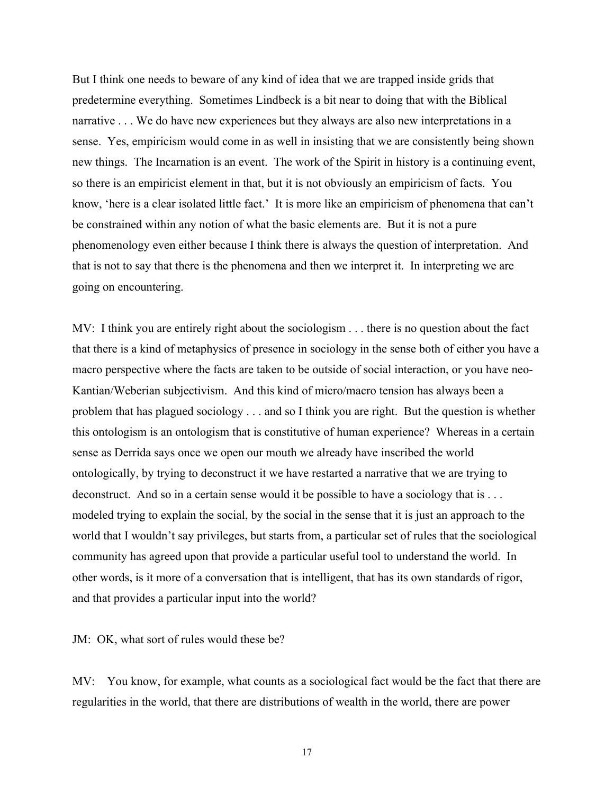But I think one needs to beware of any kind of idea that we are trapped inside grids that predetermine everything. Sometimes Lindbeck is a bit near to doing that with the Biblical narrative . . . We do have new experiences but they always are also new interpretations in a sense. Yes, empiricism would come in as well in insisting that we are consistently being shown new things. The Incarnation is an event. The work of the Spirit in history is a continuing event, so there is an empiricist element in that, but it is not obviously an empiricism of facts. You know, 'here is a clear isolated little fact.' It is more like an empiricism of phenomena that can't be constrained within any notion of what the basic elements are. But it is not a pure phenomenology even either because I think there is always the question of interpretation. And that is not to say that there is the phenomena and then we interpret it. In interpreting we are going on encountering.

MV: I think you are entirely right about the sociologism . . . there is no question about the fact that there is a kind of metaphysics of presence in sociology in the sense both of either you have a macro perspective where the facts are taken to be outside of social interaction, or you have neo-Kantian/Weberian subjectivism. And this kind of micro/macro tension has always been a problem that has plagued sociology . . . and so I think you are right. But the question is whether this ontologism is an ontologism that is constitutive of human experience? Whereas in a certain sense as Derrida says once we open our mouth we already have inscribed the world ontologically, by trying to deconstruct it we have restarted a narrative that we are trying to deconstruct. And so in a certain sense would it be possible to have a sociology that is ... modeled trying to explain the social, by the social in the sense that it is just an approach to the world that I wouldn't say privileges, but starts from, a particular set of rules that the sociological community has agreed upon that provide a particular useful tool to understand the world. In other words, is it more of a conversation that is intelligent, that has its own standards of rigor, and that provides a particular input into the world?

JM: OK, what sort of rules would these be?

MV: You know, for example, what counts as a sociological fact would be the fact that there are regularities in the world, that there are distributions of wealth in the world, there are power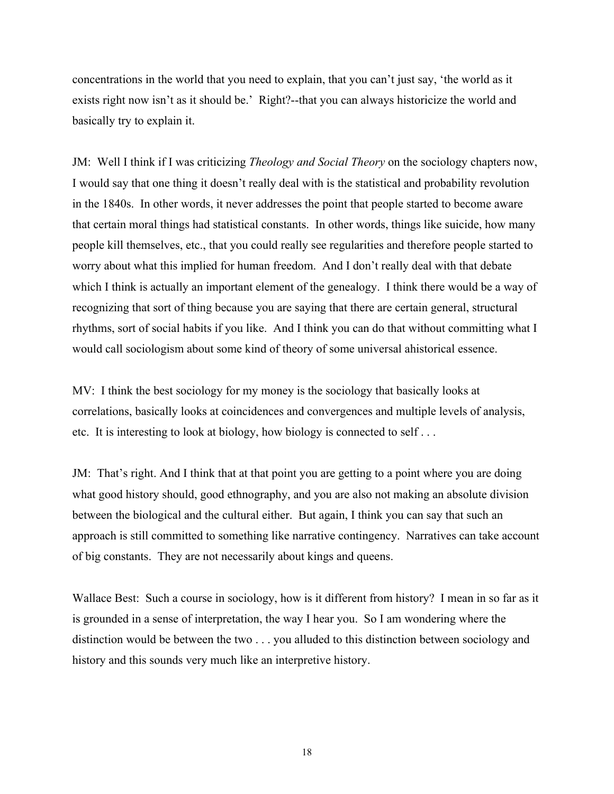concentrations in the world that you need to explain, that you can't just say, 'the world as it exists right now isn't as it should be.' Right?--that you can always historicize the world and basically try to explain it.

JM: Well I think if I was criticizing *Theology and Social Theory* on the sociology chapters now, I would say that one thing it doesn't really deal with is the statistical and probability revolution in the 1840s. In other words, it never addresses the point that people started to become aware that certain moral things had statistical constants. In other words, things like suicide, how many people kill themselves, etc., that you could really see regularities and therefore people started to worry about what this implied for human freedom. And I don't really deal with that debate which I think is actually an important element of the genealogy. I think there would be a way of recognizing that sort of thing because you are saying that there are certain general, structural rhythms, sort of social habits if you like. And I think you can do that without committing what I would call sociologism about some kind of theory of some universal ahistorical essence.

MV: I think the best sociology for my money is the sociology that basically looks at correlations, basically looks at coincidences and convergences and multiple levels of analysis, etc. It is interesting to look at biology, how biology is connected to self . . .

JM: That's right. And I think that at that point you are getting to a point where you are doing what good history should, good ethnography, and you are also not making an absolute division between the biological and the cultural either. But again, I think you can say that such an approach is still committed to something like narrative contingency. Narratives can take account of big constants. They are not necessarily about kings and queens.

Wallace Best: Such a course in sociology, how is it different from history? I mean in so far as it is grounded in a sense of interpretation, the way I hear you. So I am wondering where the distinction would be between the two . . . you alluded to this distinction between sociology and history and this sounds very much like an interpretive history.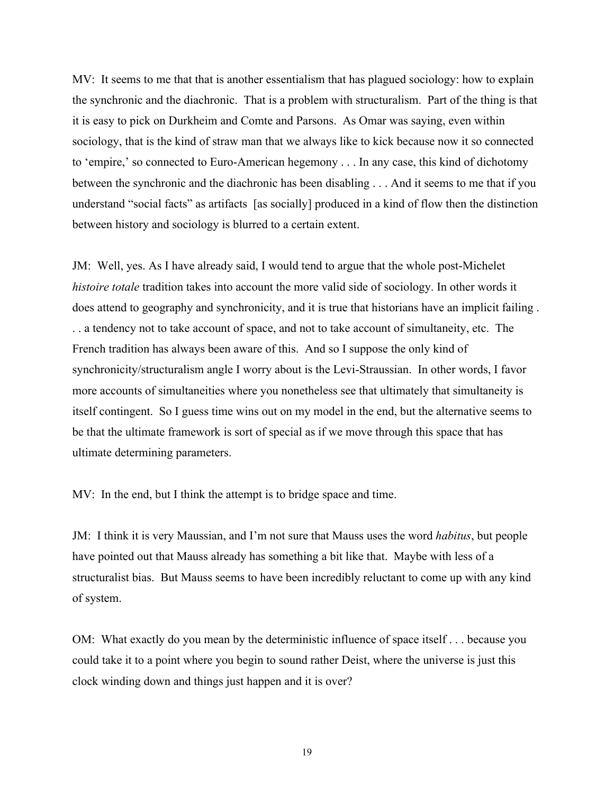MV: It seems to me that that is another essentialism that has plagued sociology: how to explain the synchronic and the diachronic. That is a problem with structuralism. Part of the thing is that it is easy to pick on Durkheim and Comte and Parsons. As Omar was saying, even within sociology, that is the kind of straw man that we always like to kick because now it so connected to 'empire,' so connected to Euro-American hegemony . . . In any case, this kind of dichotomy between the synchronic and the diachronic has been disabling . . . And it seems to me that if you understand "social facts" as artifacts [as socially] produced in a kind of flow then the distinction between history and sociology is blurred to a certain extent.

JM: Well, yes. As I have already said, I would tend to argue that the whole post-Michelet *histoire totale* tradition takes into account the more valid side of sociology. In other words it does attend to geography and synchronicity, and it is true that historians have an implicit failing . . . a tendency not to take account of space, and not to take account of simultaneity, etc. The French tradition has always been aware of this. And so I suppose the only kind of synchronicity/structuralism angle I worry about is the Levi-Straussian. In other words, I favor more accounts of simultaneities where you nonetheless see that ultimately that simultaneity is itself contingent. So I guess time wins out on my model in the end, but the alternative seems to be that the ultimate framework is sort of special as if we move through this space that has ultimate determining parameters.

MV: In the end, but I think the attempt is to bridge space and time.

JM: I think it is very Maussian, and I'm not sure that Mauss uses the word *habitus*, but people have pointed out that Mauss already has something a bit like that. Maybe with less of a structuralist bias. But Mauss seems to have been incredibly reluctant to come up with any kind of system.

OM: What exactly do you mean by the deterministic influence of space itself . . . because you could take it to a point where you begin to sound rather Deist, where the universe is just this clock winding down and things just happen and it is over?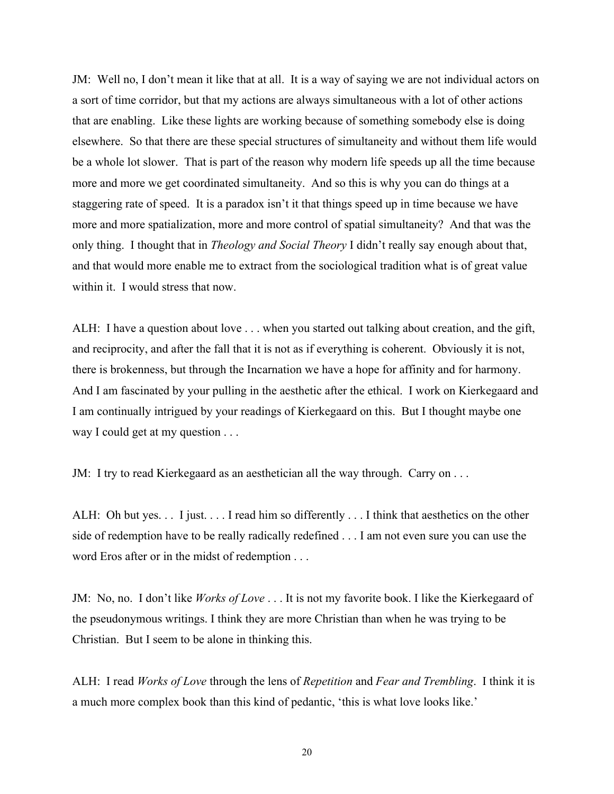JM: Well no, I don't mean it like that at all. It is a way of saying we are not individual actors on a sort of time corridor, but that my actions are always simultaneous with a lot of other actions that are enabling. Like these lights are working because of something somebody else is doing elsewhere. So that there are these special structures of simultaneity and without them life would be a whole lot slower. That is part of the reason why modern life speeds up all the time because more and more we get coordinated simultaneity. And so this is why you can do things at a staggering rate of speed. It is a paradox isn't it that things speed up in time because we have more and more spatialization, more and more control of spatial simultaneity? And that was the only thing. I thought that in *Theology and Social Theory* I didn't really say enough about that, and that would more enable me to extract from the sociological tradition what is of great value within it. I would stress that now.

ALH: I have a question about love . . . when you started out talking about creation, and the gift, and reciprocity, and after the fall that it is not as if everything is coherent. Obviously it is not, there is brokenness, but through the Incarnation we have a hope for affinity and for harmony. And I am fascinated by your pulling in the aesthetic after the ethical. I work on Kierkegaard and I am continually intrigued by your readings of Kierkegaard on this. But I thought maybe one way I could get at my question . . .

JM: I try to read Kierkegaard as an aesthetician all the way through. Carry on . . .

ALH: Oh but yes. . . I just. . . . I read him so differently . . . I think that aesthetics on the other side of redemption have to be really radically redefined . . . I am not even sure you can use the word Eros after or in the midst of redemption . . .

JM: No, no. I don't like *Works of Love* . . . It is not my favorite book. I like the Kierkegaard of the pseudonymous writings. I think they are more Christian than when he was trying to be Christian. But I seem to be alone in thinking this.

ALH: I read *Works of Love* through the lens of *Repetition* and *Fear and Trembling*. I think it is a much more complex book than this kind of pedantic, 'this is what love looks like.'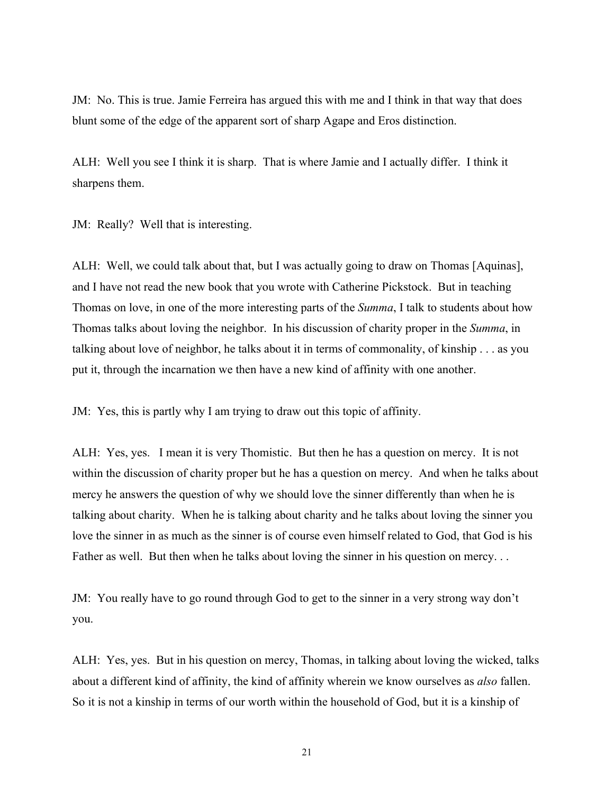JM: No. This is true. Jamie Ferreira has argued this with me and I think in that way that does blunt some of the edge of the apparent sort of sharp Agape and Eros distinction.

ALH: Well you see I think it is sharp. That is where Jamie and I actually differ. I think it sharpens them.

JM: Really? Well that is interesting.

ALH: Well, we could talk about that, but I was actually going to draw on Thomas [Aquinas], and I have not read the new book that you wrote with Catherine Pickstock. But in teaching Thomas on love, in one of the more interesting parts of the *Summa*, I talk to students about how Thomas talks about loving the neighbor. In his discussion of charity proper in the *Summa*, in talking about love of neighbor, he talks about it in terms of commonality, of kinship . . . as you put it, through the incarnation we then have a new kind of affinity with one another.

JM: Yes, this is partly why I am trying to draw out this topic of affinity.

ALH: Yes, yes. I mean it is very Thomistic. But then he has a question on mercy. It is not within the discussion of charity proper but he has a question on mercy. And when he talks about mercy he answers the question of why we should love the sinner differently than when he is talking about charity. When he is talking about charity and he talks about loving the sinner you love the sinner in as much as the sinner is of course even himself related to God, that God is his Father as well. But then when he talks about loving the sinner in his question on mercy...

JM: You really have to go round through God to get to the sinner in a very strong way don't you.

ALH: Yes, yes. But in his question on mercy, Thomas, in talking about loving the wicked, talks about a different kind of affinity, the kind of affinity wherein we know ourselves as *also* fallen. So it is not a kinship in terms of our worth within the household of God, but it is a kinship of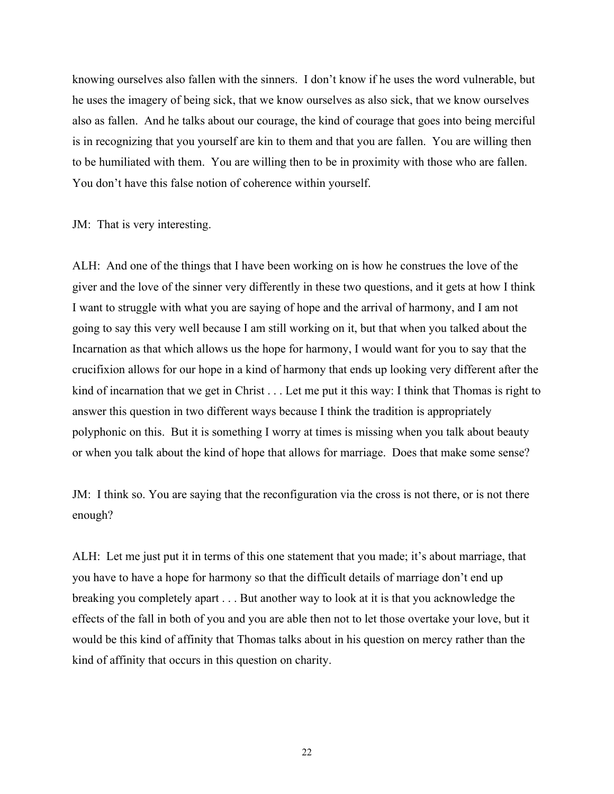knowing ourselves also fallen with the sinners. I don't know if he uses the word vulnerable, but he uses the imagery of being sick, that we know ourselves as also sick, that we know ourselves also as fallen. And he talks about our courage, the kind of courage that goes into being merciful is in recognizing that you yourself are kin to them and that you are fallen. You are willing then to be humiliated with them. You are willing then to be in proximity with those who are fallen. You don't have this false notion of coherence within yourself.

JM: That is very interesting.

ALH: And one of the things that I have been working on is how he construes the love of the giver and the love of the sinner very differently in these two questions, and it gets at how I think I want to struggle with what you are saying of hope and the arrival of harmony, and I am not going to say this very well because I am still working on it, but that when you talked about the Incarnation as that which allows us the hope for harmony, I would want for you to say that the crucifixion allows for our hope in a kind of harmony that ends up looking very different after the kind of incarnation that we get in Christ . . . Let me put it this way: I think that Thomas is right to answer this question in two different ways because I think the tradition is appropriately polyphonic on this. But it is something I worry at times is missing when you talk about beauty or when you talk about the kind of hope that allows for marriage. Does that make some sense?

JM: I think so. You are saying that the reconfiguration via the cross is not there, or is not there enough?

ALH: Let me just put it in terms of this one statement that you made; it's about marriage, that you have to have a hope for harmony so that the difficult details of marriage don't end up breaking you completely apart . . . But another way to look at it is that you acknowledge the effects of the fall in both of you and you are able then not to let those overtake your love, but it would be this kind of affinity that Thomas talks about in his question on mercy rather than the kind of affinity that occurs in this question on charity.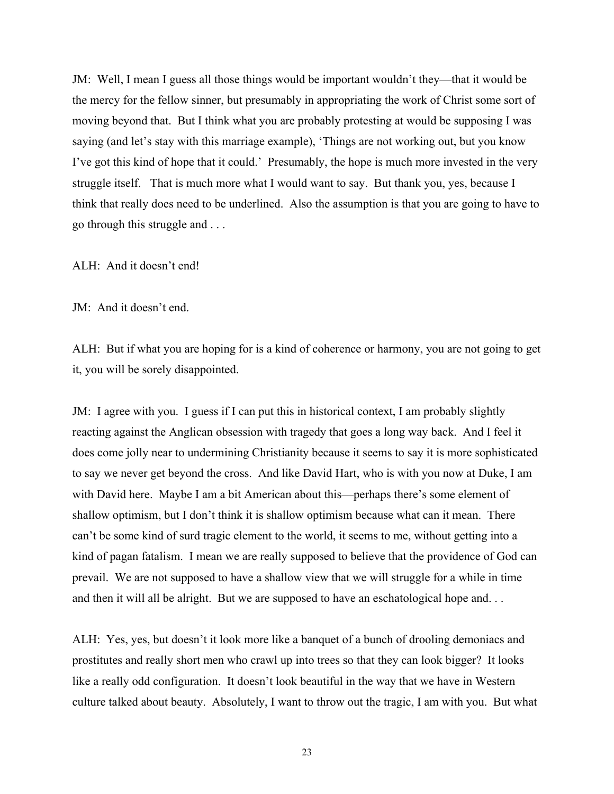JM: Well, I mean I guess all those things would be important wouldn't they—that it would be the mercy for the fellow sinner, but presumably in appropriating the work of Christ some sort of moving beyond that. But I think what you are probably protesting at would be supposing I was saying (and let's stay with this marriage example), 'Things are not working out, but you know I've got this kind of hope that it could.' Presumably, the hope is much more invested in the very struggle itself. That is much more what I would want to say. But thank you, yes, because I think that really does need to be underlined. Also the assumption is that you are going to have to go through this struggle and . . .

ALH: And it doesn't end!

JM: And it doesn't end.

ALH: But if what you are hoping for is a kind of coherence or harmony, you are not going to get it, you will be sorely disappointed.

JM: I agree with you. I guess if I can put this in historical context, I am probably slightly reacting against the Anglican obsession with tragedy that goes a long way back. And I feel it does come jolly near to undermining Christianity because it seems to say it is more sophisticated to say we never get beyond the cross. And like David Hart, who is with you now at Duke, I am with David here. Maybe I am a bit American about this—perhaps there's some element of shallow optimism, but I don't think it is shallow optimism because what can it mean. There can't be some kind of surd tragic element to the world, it seems to me, without getting into a kind of pagan fatalism. I mean we are really supposed to believe that the providence of God can prevail. We are not supposed to have a shallow view that we will struggle for a while in time and then it will all be alright. But we are supposed to have an eschatological hope and. . .

ALH: Yes, yes, but doesn't it look more like a banquet of a bunch of drooling demoniacs and prostitutes and really short men who crawl up into trees so that they can look bigger? It looks like a really odd configuration. It doesn't look beautiful in the way that we have in Western culture talked about beauty. Absolutely, I want to throw out the tragic, I am with you. But what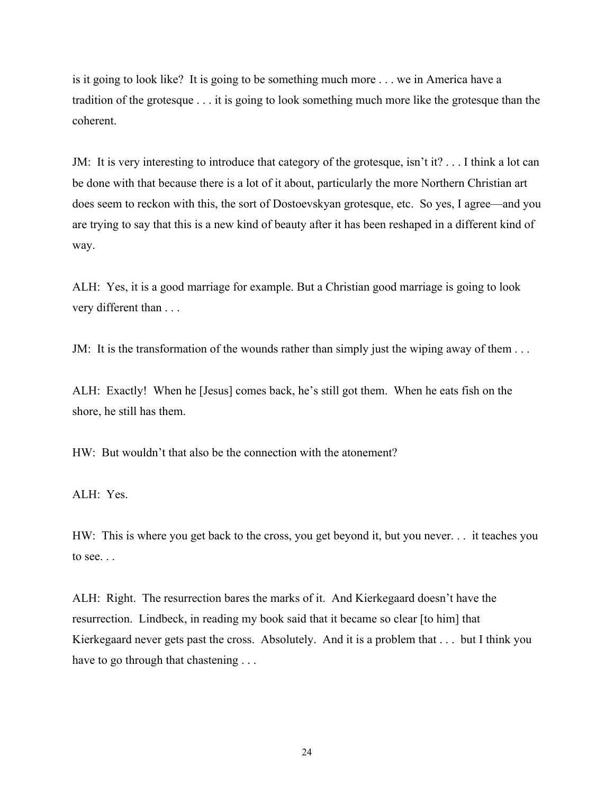is it going to look like? It is going to be something much more . . . we in America have a tradition of the grotesque . . . it is going to look something much more like the grotesque than the coherent.

JM: It is very interesting to introduce that category of the grotesque, isn't it? . . . I think a lot can be done with that because there is a lot of it about, particularly the more Northern Christian art does seem to reckon with this, the sort of Dostoevskyan grotesque, etc. So yes, I agree—and you are trying to say that this is a new kind of beauty after it has been reshaped in a different kind of way.

ALH: Yes, it is a good marriage for example. But a Christian good marriage is going to look very different than . . .

JM: It is the transformation of the wounds rather than simply just the wiping away of them . . .

ALH: Exactly! When he [Jesus] comes back, he's still got them. When he eats fish on the shore, he still has them.

HW: But wouldn't that also be the connection with the atonement?

## ALH: Yes.

HW: This is where you get back to the cross, you get beyond it, but you never. . . it teaches you to see. . .

ALH: Right. The resurrection bares the marks of it. And Kierkegaard doesn't have the resurrection. Lindbeck, in reading my book said that it became so clear [to him] that Kierkegaard never gets past the cross. Absolutely. And it is a problem that . . . but I think you have to go through that chastening . . .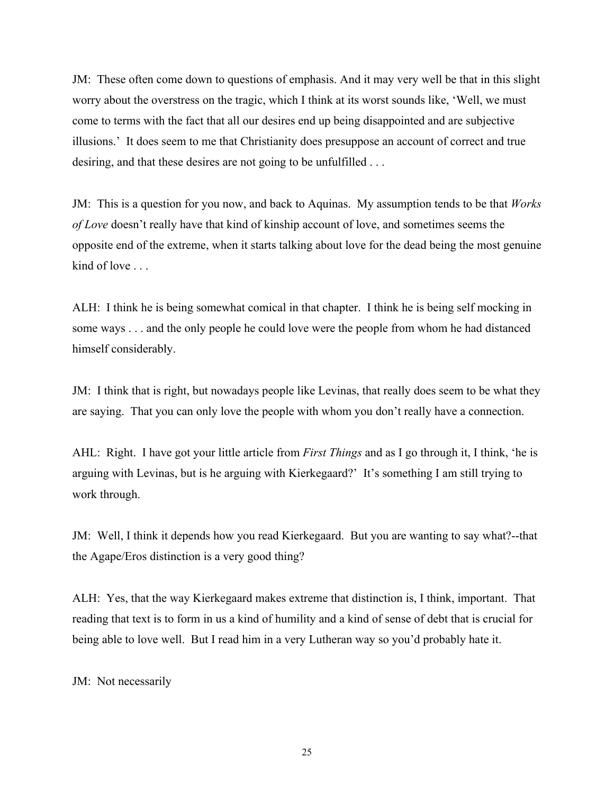JM: These often come down to questions of emphasis. And it may very well be that in this slight worry about the overstress on the tragic, which I think at its worst sounds like, 'Well, we must come to terms with the fact that all our desires end up being disappointed and are subjective illusions.' It does seem to me that Christianity does presuppose an account of correct and true desiring, and that these desires are not going to be unfulfilled ...

JM: This is a question for you now, and back to Aquinas. My assumption tends to be that *Works of Love* doesn't really have that kind of kinship account of love, and sometimes seems the opposite end of the extreme, when it starts talking about love for the dead being the most genuine kind of love ...

ALH: I think he is being somewhat comical in that chapter. I think he is being self mocking in some ways . . . and the only people he could love were the people from whom he had distanced himself considerably.

JM: I think that is right, but nowadays people like Levinas, that really does seem to be what they are saying. That you can only love the people with whom you don't really have a connection.

AHL: Right. I have got your little article from *First Things* and as I go through it, I think, 'he is arguing with Levinas, but is he arguing with Kierkegaard?' It's something I am still trying to work through.

JM: Well, I think it depends how you read Kierkegaard. But you are wanting to say what?--that the Agape/Eros distinction is a very good thing?

ALH: Yes, that the way Kierkegaard makes extreme that distinction is, I think, important. That reading that text is to form in us a kind of humility and a kind of sense of debt that is crucial for being able to love well. But I read him in a very Lutheran way so you'd probably hate it.

JM: Not necessarily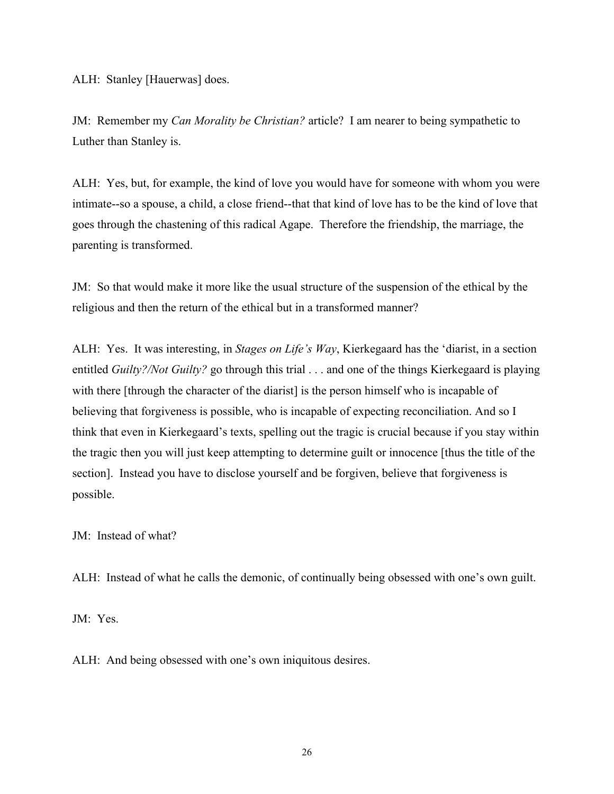ALH: Stanley [Hauerwas] does.

JM: Remember my *Can Morality be Christian?* article? I am nearer to being sympathetic to Luther than Stanley is.

ALH: Yes, but, for example, the kind of love you would have for someone with whom you were intimate--so a spouse, a child, a close friend--that that kind of love has to be the kind of love that goes through the chastening of this radical Agape. Therefore the friendship, the marriage, the parenting is transformed.

JM: So that would make it more like the usual structure of the suspension of the ethical by the religious and then the return of the ethical but in a transformed manner?

ALH: Yes. It was interesting, in *Stages on Life's Way*, Kierkegaard has the 'diarist, in a section entitled *Guilty?/Not Guilty?* go through this trial . . . and one of the things Kierkegaard is playing with there [through the character of the diarist] is the person himself who is incapable of believing that forgiveness is possible, who is incapable of expecting reconciliation. And so I think that even in Kierkegaard's texts, spelling out the tragic is crucial because if you stay within the tragic then you will just keep attempting to determine guilt or innocence [thus the title of the section]. Instead you have to disclose yourself and be forgiven, believe that forgiveness is possible.

JM: Instead of what?

ALH: Instead of what he calls the demonic, of continually being obsessed with one's own guilt.

JM: Yes.

ALH: And being obsessed with one's own iniquitous desires.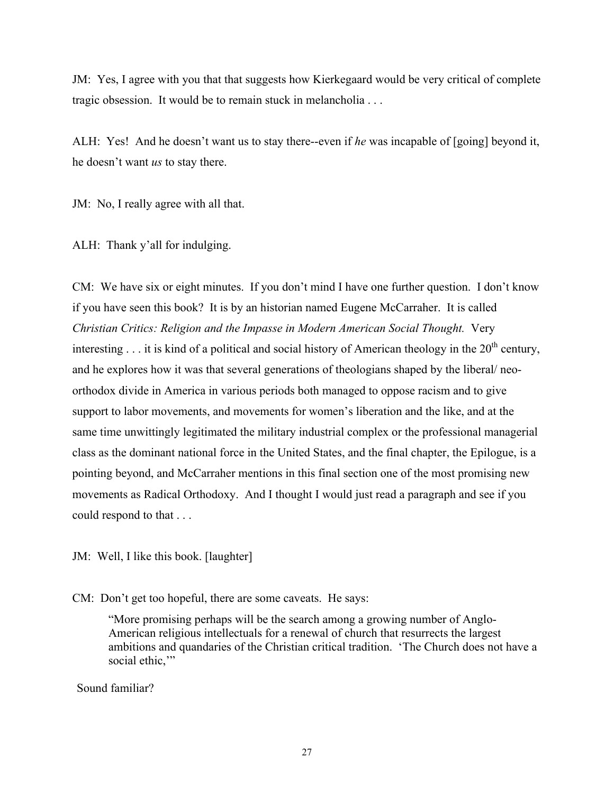JM: Yes, I agree with you that that suggests how Kierkegaard would be very critical of complete tragic obsession. It would be to remain stuck in melancholia . . .

ALH: Yes! And he doesn't want us to stay there--even if *he* was incapable of [going] beyond it, he doesn't want *us* to stay there.

JM: No, I really agree with all that.

ALH: Thank y'all for indulging.

CM: We have six or eight minutes. If you don't mind I have one further question. I don't know if you have seen this book? It is by an historian named Eugene McCarraher. It is called *Christian Critics: Religion and the Impasse in Modern American Social Thought.* Very interesting  $\ldots$  it is kind of a political and social history of American theology in the 20<sup>th</sup> century, and he explores how it was that several generations of theologians shaped by the liberal/ neoorthodox divide in America in various periods both managed to oppose racism and to give support to labor movements, and movements for women's liberation and the like, and at the same time unwittingly legitimated the military industrial complex or the professional managerial class as the dominant national force in the United States, and the final chapter, the Epilogue, is a pointing beyond, and McCarraher mentions in this final section one of the most promising new movements as Radical Orthodoxy. And I thought I would just read a paragraph and see if you could respond to that . . .

JM: Well, I like this book. [laughter]

CM: Don't get too hopeful, there are some caveats. He says:

"More promising perhaps will be the search among a growing number of Anglo-American religious intellectuals for a renewal of church that resurrects the largest ambitions and quandaries of the Christian critical tradition. 'The Church does not have a social ethic,"

Sound familiar?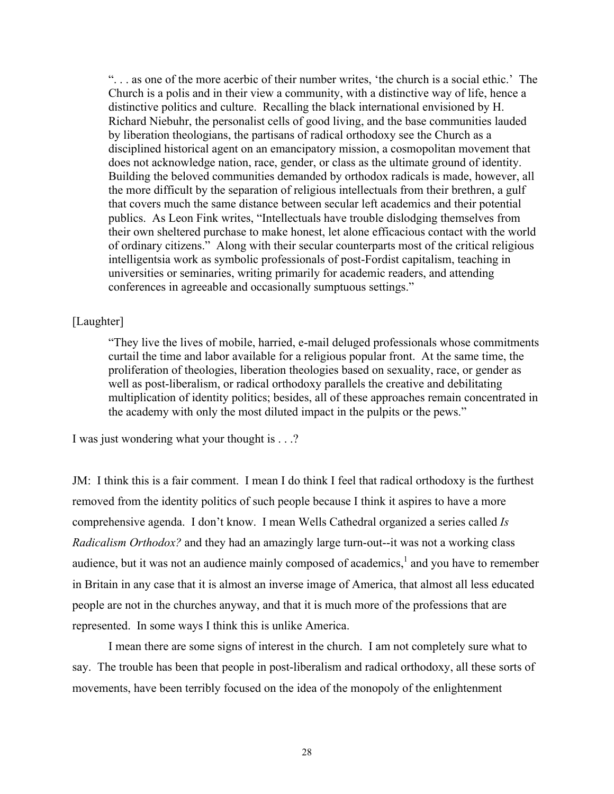". . . as one of the more acerbic of their number writes, 'the church is a social ethic.' The Church is a polis and in their view a community, with a distinctive way of life, hence a distinctive politics and culture. Recalling the black international envisioned by H. Richard Niebuhr, the personalist cells of good living, and the base communities lauded by liberation theologians, the partisans of radical orthodoxy see the Church as a disciplined historical agent on an emancipatory mission, a cosmopolitan movement that does not acknowledge nation, race, gender, or class as the ultimate ground of identity. Building the beloved communities demanded by orthodox radicals is made, however, all the more difficult by the separation of religious intellectuals from their brethren, a gulf that covers much the same distance between secular left academics and their potential publics. As Leon Fink writes, "Intellectuals have trouble dislodging themselves from their own sheltered purchase to make honest, let alone efficacious contact with the world of ordinary citizens." Along with their secular counterparts most of the critical religious intelligentsia work as symbolic professionals of post-Fordist capitalism, teaching in universities or seminaries, writing primarily for academic readers, and attending conferences in agreeable and occasionally sumptuous settings."

## [Laughter]

"They live the lives of mobile, harried, e-mail deluged professionals whose commitments curtail the time and labor available for a religious popular front. At the same time, the proliferation of theologies, liberation theologies based on sexuality, race, or gender as well as post-liberalism, or radical orthodoxy parallels the creative and debilitating multiplication of identity politics; besides, all of these approaches remain concentrated in the academy with only the most diluted impact in the pulpits or the pews."

I was just wondering what your thought is . . .?

JM: I think this is a fair comment. I mean I do think I feel that radical orthodoxy is the furthest removed from the identity politics of such people because I think it aspires to have a more comprehensive agenda. I don't know. I mean Wells Cathedral organized a series called *Is Radicalism Orthodox?* and they had an amazingly large turn-out--it was not a working class audience, but it was not an audience mainly composed of academics, $<sup>1</sup>$  and you have to remember</sup> in Britain in any case that it is almost an inverse image of America, that almost all less educated people are not in the churches anyway, and that it is much more of the professions that are represented. In some ways I think this is unlike America.

I mean there are some signs of interest in the church. I am not completely sure what to say. The trouble has been that people in post-liberalism and radical orthodoxy, all these sorts of movements, have been terribly focused on the idea of the monopoly of the enlightenment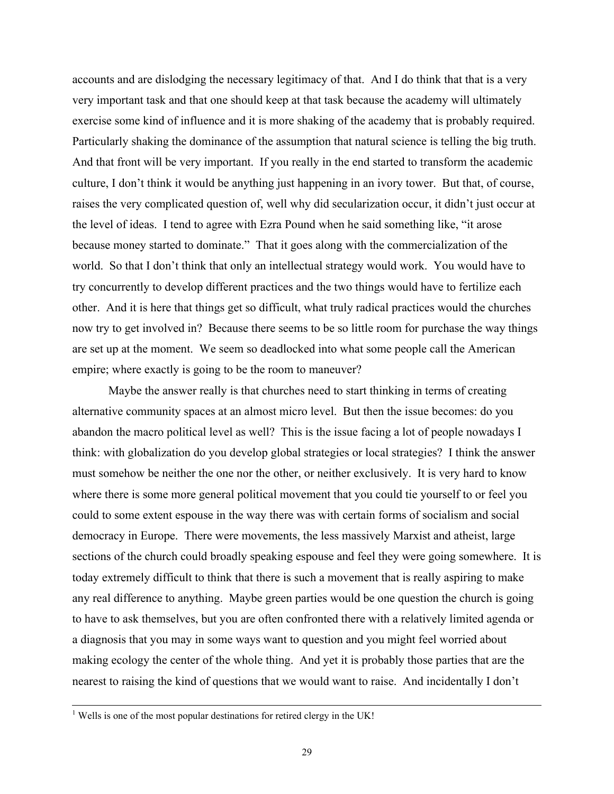accounts and are dislodging the necessary legitimacy of that. And I do think that that is a very very important task and that one should keep at that task because the academy will ultimately exercise some kind of influence and it is more shaking of the academy that is probably required. Particularly shaking the dominance of the assumption that natural science is telling the big truth. And that front will be very important. If you really in the end started to transform the academic culture, I don't think it would be anything just happening in an ivory tower. But that, of course, raises the very complicated question of, well why did secularization occur, it didn't just occur at the level of ideas. I tend to agree with Ezra Pound when he said something like, "it arose because money started to dominate." That it goes along with the commercialization of the world. So that I don't think that only an intellectual strategy would work. You would have to try concurrently to develop different practices and the two things would have to fertilize each other. And it is here that things get so difficult, what truly radical practices would the churches now try to get involved in? Because there seems to be so little room for purchase the way things are set up at the moment. We seem so deadlocked into what some people call the American empire; where exactly is going to be the room to maneuver?

Maybe the answer really is that churches need to start thinking in terms of creating alternative community spaces at an almost micro level. But then the issue becomes: do you abandon the macro political level as well? This is the issue facing a lot of people nowadays I think: with globalization do you develop global strategies or local strategies? I think the answer must somehow be neither the one nor the other, or neither exclusively. It is very hard to know where there is some more general political movement that you could tie yourself to or feel you could to some extent espouse in the way there was with certain forms of socialism and social democracy in Europe. There were movements, the less massively Marxist and atheist, large sections of the church could broadly speaking espouse and feel they were going somewhere. It is today extremely difficult to think that there is such a movement that is really aspiring to make any real difference to anything. Maybe green parties would be one question the church is going to have to ask themselves, but you are often confronted there with a relatively limited agenda or a diagnosis that you may in some ways want to question and you might feel worried about making ecology the center of the whole thing. And yet it is probably those parties that are the nearest to raising the kind of questions that we would want to raise. And incidentally I don't

l

<sup>&</sup>lt;sup>1</sup> Wells is one of the most popular destinations for retired clergy in the UK!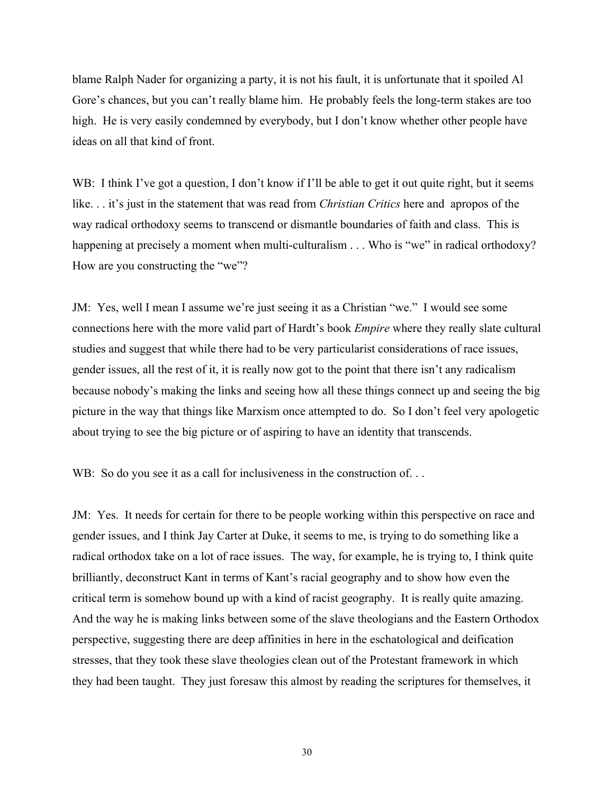blame Ralph Nader for organizing a party, it is not his fault, it is unfortunate that it spoiled Al Gore's chances, but you can't really blame him. He probably feels the long-term stakes are too high. He is very easily condemned by everybody, but I don't know whether other people have ideas on all that kind of front.

WB: I think I've got a question, I don't know if I'll be able to get it out quite right, but it seems like. . . it's just in the statement that was read from *Christian Critics* here and apropos of the way radical orthodoxy seems to transcend or dismantle boundaries of faith and class. This is happening at precisely a moment when multi-culturalism . . . Who is "we" in radical orthodoxy? How are you constructing the "we"?

JM: Yes, well I mean I assume we're just seeing it as a Christian "we." I would see some connections here with the more valid part of Hardt's book *Empire* where they really slate cultural studies and suggest that while there had to be very particularist considerations of race issues, gender issues, all the rest of it, it is really now got to the point that there isn't any radicalism because nobody's making the links and seeing how all these things connect up and seeing the big picture in the way that things like Marxism once attempted to do. So I don't feel very apologetic about trying to see the big picture or of aspiring to have an identity that transcends.

WB: So do you see it as a call for inclusiveness in the construction of...

JM: Yes. It needs for certain for there to be people working within this perspective on race and gender issues, and I think Jay Carter at Duke, it seems to me, is trying to do something like a radical orthodox take on a lot of race issues. The way, for example, he is trying to, I think quite brilliantly, deconstruct Kant in terms of Kant's racial geography and to show how even the critical term is somehow bound up with a kind of racist geography. It is really quite amazing. And the way he is making links between some of the slave theologians and the Eastern Orthodox perspective, suggesting there are deep affinities in here in the eschatological and deification stresses, that they took these slave theologies clean out of the Protestant framework in which they had been taught. They just foresaw this almost by reading the scriptures for themselves, it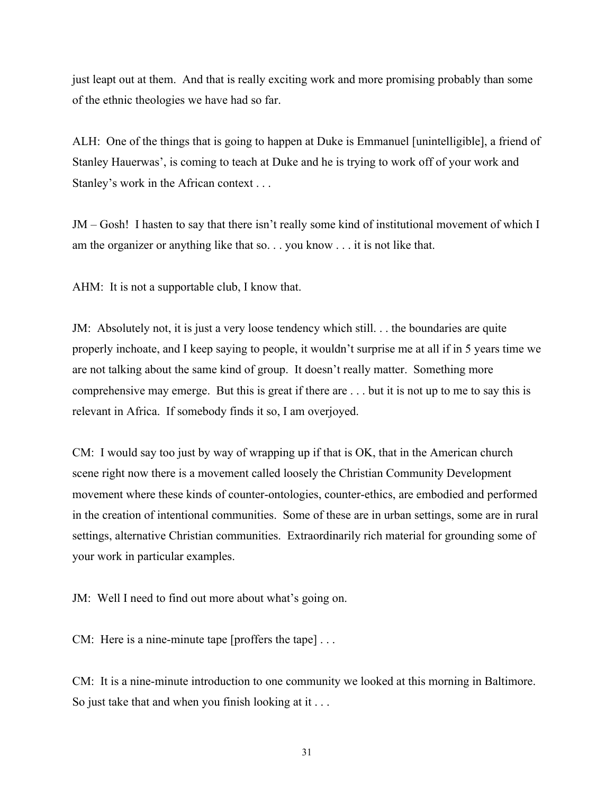just leapt out at them. And that is really exciting work and more promising probably than some of the ethnic theologies we have had so far.

ALH: One of the things that is going to happen at Duke is Emmanuel [unintelligible], a friend of Stanley Hauerwas', is coming to teach at Duke and he is trying to work off of your work and Stanley's work in the African context . . .

JM – Gosh! I hasten to say that there isn't really some kind of institutional movement of which I am the organizer or anything like that so. . . you know . . . it is not like that.

AHM: It is not a supportable club, I know that.

JM: Absolutely not, it is just a very loose tendency which still. . . the boundaries are quite properly inchoate, and I keep saying to people, it wouldn't surprise me at all if in 5 years time we are not talking about the same kind of group. It doesn't really matter. Something more comprehensive may emerge. But this is great if there are . . . but it is not up to me to say this is relevant in Africa. If somebody finds it so, I am overjoyed.

CM: I would say too just by way of wrapping up if that is OK, that in the American church scene right now there is a movement called loosely the Christian Community Development movement where these kinds of counter-ontologies, counter-ethics, are embodied and performed in the creation of intentional communities. Some of these are in urban settings, some are in rural settings, alternative Christian communities. Extraordinarily rich material for grounding some of your work in particular examples.

JM: Well I need to find out more about what's going on.

CM: Here is a nine-minute tape [proffers the tape] . . .

CM: It is a nine-minute introduction to one community we looked at this morning in Baltimore. So just take that and when you finish looking at it . . .